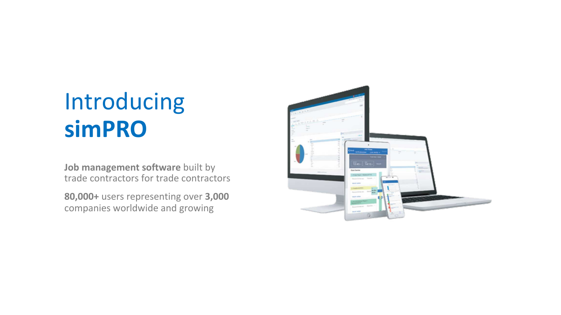### Introducing **simPRO**

**Job management software** built by trade contractors for trade contractors

**80,000+** users representing over **3,000** companies worldwide and growing

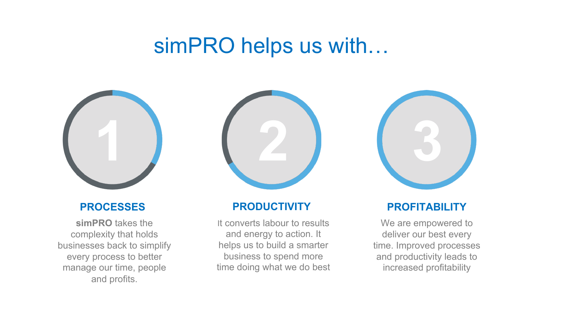### simPRO helps us with…



#### **PROCESSES**

**simPRO** takes the complexity that holds businesses back to simplify every process to better manage our time, people and profits.



#### **PRODUCTIVITY**

It converts labour to results and energy to action. It helps us to build a smarter business to spend more time doing what we do best



#### **PROFITABILITY**

We are empowered to deliver our best every time. Improved processes and productivity leads to increased profitability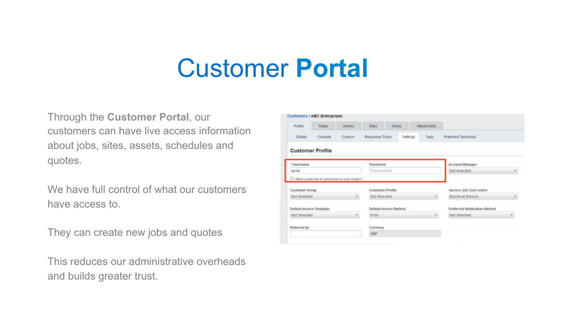## Customer **Portal**

Through the **Customer Portal**, our customers can have live access information about jobs, sites, assets, schedules and quotes.

We have full control of what our customers have access to.

They can create new jobs and quotes

This reduces our administrative overheads and builds greater trust.

| Profile                                                                    | Rates                                      | History | Sites.<br>Notes:                        |          | Attachments |                                               |  |  |  |
|----------------------------------------------------------------------------|--------------------------------------------|---------|-----------------------------------------|----------|-------------|-----------------------------------------------|--|--|--|
| Details                                                                    | Contacts                                   |         | Response Times                          | Settings | Tags        | Preferred Technician                          |  |  |  |
| <b>Customer Profile</b>                                                    |                                            |         |                                         |          |             |                                               |  |  |  |
| * Username                                                                 |                                            |         | Password                                |          |             | Account Manager                               |  |  |  |
| acme                                                                       |                                            |         | Password Set                            |          |             | Not Selected                                  |  |  |  |
|                                                                            |                                            |         |                                         |          |             |                                               |  |  |  |
|                                                                            | Allow customer to send jubs to your system |         |                                         |          |             |                                               |  |  |  |
|                                                                            |                                            |         | <b>Customer Profile</b><br>Not Selected |          |             | Service Job Cost Centre<br>Electrical Service |  |  |  |
|                                                                            |                                            |         | Default Invoice Method                  |          |             | Preferred Notification Method                 |  |  |  |
| Customer Group<br>Not Selected<br>Default Invoice Template<br>Not Selected |                                            |         | Print.                                  |          |             | Not Selected                                  |  |  |  |
| Referred By                                                                |                                            |         | Currency                                |          |             |                                               |  |  |  |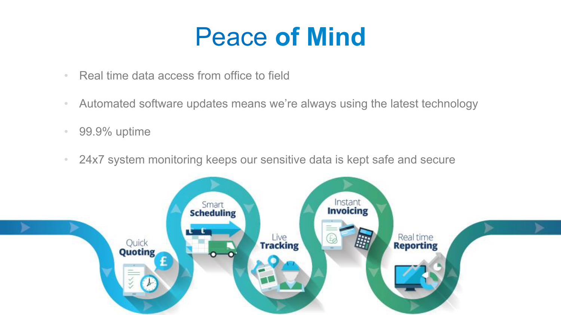### Peace **of Mind**

- Real time data access from office to field
- Automated software updates means we're always using the latest technology
- 99.9% uptime
- 24x7 system monitoring keeps our sensitive data is kept safe and secure

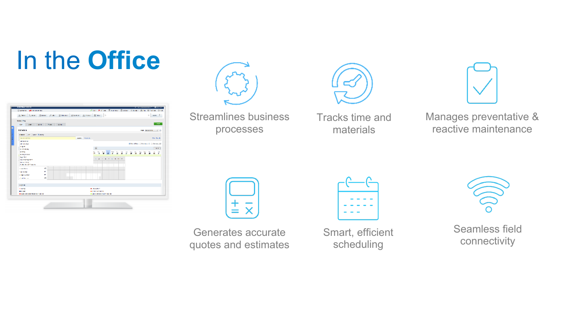# In the **Office**

| Alexandrian Bonet Aver Stewart Stewart Albany Black In   |                  |                                                     |         |   |                                 | o language          |                   |
|----------------------------------------------------------|------------------|-----------------------------------------------------|---------|---|---------------------------------|---------------------|-------------------|
| <b>School Fire</b>                                       |                  |                                                     |         |   |                                 |                     |                   |
| te an un has the                                         |                  |                                                     |         |   |                                 |                     | <b>CONTRACTOR</b> |
| 3070000                                                  |                  |                                                     |         |   |                                 | say accounts of the |                   |
| sease Case Cases Sweep                                   |                  |                                                     |         |   |                                 |                     |                   |
| <b>Report Administration</b>                             | states industry. |                                                     |         |   |                                 |                     | One for A         |
| <b>CONTRACT</b>                                          |                  |                                                     |         |   | Sheedler, Stephen C. Stephen 22 |                     |                   |
| <b>ALCOHOL:</b><br>145.70                                |                  |                                                     |         |   |                                 |                     |                   |
| <b>LIVE ON WA</b>                                        |                  | 同                                                   |         |   |                                 |                     | $-2.2$            |
| <b>MARKET</b><br><b>MINERATOR</b>                        |                  | 7 T T                                               | 2.772.2 | s | 同学<br>τ                         | n b                 | йñ                |
| <b>San Mark</b>                                          |                  |                                                     |         |   |                                 |                     |                   |
| <b>The Structure Section</b>                             |                  |                                                     |         |   |                                 |                     |                   |
| <b>Distance (NOW)</b><br><b>Lodie: In Said 11 months</b> |                  |                                                     |         |   |                                 |                     |                   |
| w.<br><b>Consultation</b>                                |                  |                                                     |         |   |                                 |                     |                   |
| w.<br>114 Month                                          |                  |                                                     |         |   |                                 |                     |                   |
| w<br><b>SAMPA APRIL</b>                                  |                  |                                                     |         |   |                                 |                     |                   |
| w.<br><b>Could be an</b>                                 |                  |                                                     |         |   |                                 |                     |                   |
| 142156                                                   |                  |                                                     |         |   |                                 |                     |                   |
| <b>HART</b>                                              |                  | <b>BUSINESS</b>                                     |         |   |                                 |                     |                   |
| <b>MAGNI</b><br>de Caso Concesso ferroman funzioni       |                  | <b>BITTER ATTNETS</b>                               |         |   |                                 |                     |                   |
|                                                          |                  | <b>In Case of consideration of the construction</b> |         |   |                                 |                     |                   |
|                                                          |                  |                                                     |         |   |                                 |                     |                   |
|                                                          |                  |                                                     |         |   |                                 |                     |                   |







Streamlines business processes

Tracks time and materials

Manages preventative & reactive maintenance



Generates accurate quotes and estimates



Smart, efficient scheduling



Seamless field connectivity